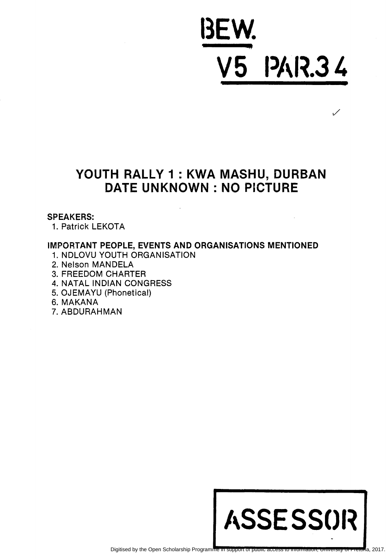## BEW. V5 PAR.34

 $\checkmark$ 

### YOUTH RALLY 1 : KWA MASHU, DURBAN DATE UNKNOWN: NO PICTURE

### SPEAKERS:

1. Patrick LEKOTA

### IMPORTANT PEOPLE, EVENTS AND ORGANISATIONS MENTIONED

- 1. NDLOVU YOUTH ORGANISATION
- 2. Nelson MANDELA
- 3. FREEDOM CHARTER
- 4. NATAL INDIAN CONGRESS
- 5. OJEMAYU (Phonetical)
- 6. MAKANA
- 7. ABDURAHMAN

# ASSE SSOR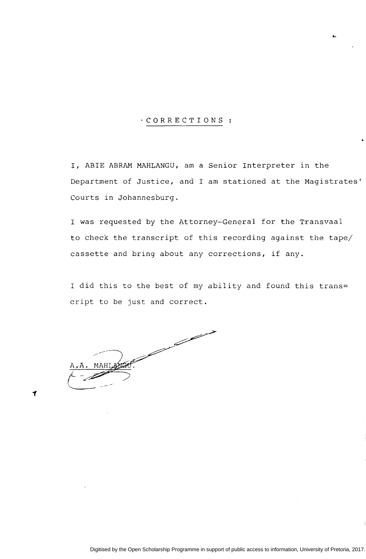### ·CORRECTIONS

I, ABIE ABRAM MAHLANGU, am a Senior Interpreter in the Department of Justice, and I am stationed at the Magistrates' Courts in Johannesburg.

'"

I was requested by the Attorney-General for the Transvaal to check the transcript of this recording against the tape/ cassette and bring about any corrections, if any.

I did this to the best of my ability and found this trans= cript to be just and correct.

and the contract of the contract of the contract of the contract of the contract of the contract of the contract of the contract of the contract of the contract of the contract of the contract of the contract of the contra  $A_{\bullet}A_{\bullet}$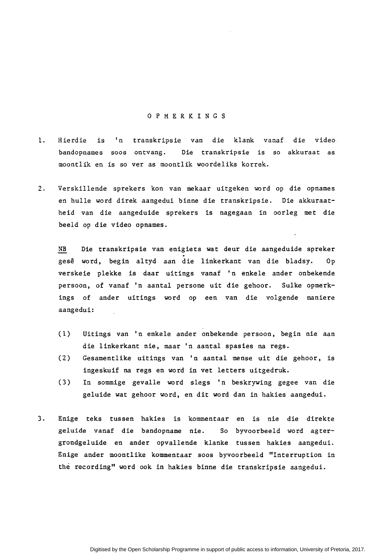#### 0 P M E R K I N G S

- 1. Hierdie is 'n transkripsie van die klank vanaf die video. bandopnames soos ontvang. Die transkripsie is so akkuraat as moontlik en is so ver as moontlik woordeliks korrek.
- 2. Verskillende sprekers kon van mekaar uitgeken word op die opnames en hulle word direk aangedui binne die transkripsie. Die akkuraatheid van die aangeduide sprekers is nagegaan in oorleg met die beeld op die video opnames.

NB Die transkripsie van enigiets wat deur die aangeduide spreker gese word, begin altyd aan die linkerkant van die bladsy. Op verskeie plekke is daar uitings vanaf 'n enkele ander onbekende persoon, of vanaf 'n aantal persone uit die gehoor. Sulke opmerkings of ander uitings word op een van die volgende maniere aangedui:

- (1) Uitings van 'n enkele ander onbekende persoon, begin nie aan die linkerkant nie, maar 'n aantal spasies na regs.
- ( 2) Gesamentlike uitings van 1 n aantal mense uit die gehoor, is ingeskuif na regs en word in vet letters uitgedruk.
- ( 3) In sommige gevalle word slegs 1 n beskrywing gegee van die geluide wat gehoor word, en dit word dan in hakies aangedui.
- 3. Enige teks tussen hakies is kommentaar en is nie die direkte geluide vanaf die bandopname nie. So byvoorbeeld word agtergrondgeluide en ander opvallende klanke tussen hakies aangedui. Enige ander moontlike kommentaar soos byvoorbeeld "Interruption in the recording" word ook in hakies binne die transkripsie aangedui.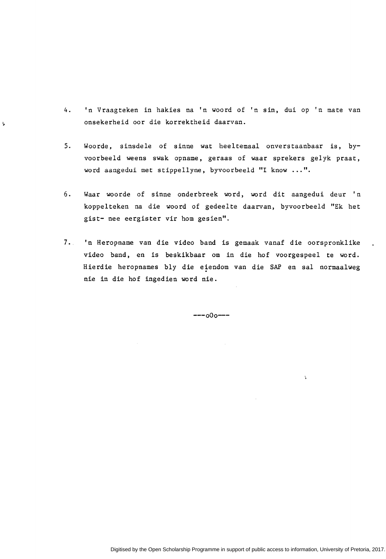4. 'n Vraagteken in hakies na 'n woord of 'n sin, dui op 'n mate van onsekerheid oor die korrektheid daarvan.

J,

- 5. Woorde, sinsdele of sinne wat heeltemaal onverstaanbaar is, byvoorbeeld weens swak opname, geraas of waar sprekers gelyk praat, word aangedui met stippellyne, byvoorbeeld "I know ... ".
- 6. Waar woorde of sinne onderbreek word, word dit aangedui deur 'n koppelteken na die woord of gedeelte daarvan, byvoorbeeld "Ek het gist- nee eergister vir hom gesien".
- 7. 'n Heropname van die video band is gemaak vanaf die oorspronklike video band, en is beskikbaar om in die hof voorgespeel te word. Hierdie heropnames bly die eiendom van die SAP en sal normaalweg nie in die hof ingedien word nie.

 $---000---$ 

 $\bar{\psi}$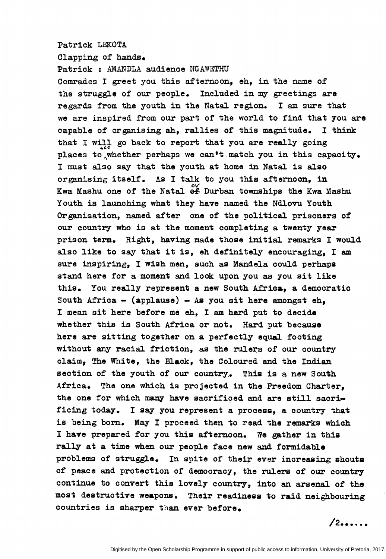#### Patrick LEKOTA

Clapping of hands.

Patrick : MiANDLA audience NGAWETHU Comrades I greet you this afternoon, eh, in the name of the struggle. of our people. Included in my greetings are regards from the youth in the Natal region. I am sure that we are inspired from our part of the world to find that you are capable of organising ah, rallies of this magnitude. I think that I will go back to report that you are really going places to whether perhaps we can't match you in this capacity. I must also say that the youth at home in Natal is also organising itself. As I talk to you this afternoon, in Ewa Mashu one of the Natal of Durban townships the Kwa Mashu Youth is launching what they have named the Ndlovu Youth Organisation, named after one of the political prisoners of our country who is at the moment completing a twenty year prison term. Right, having made those initial remarks I would also like to say that it is, eh definitely encouraging, I am sure inspiring, I wish men, such as Mandela could perhaps stand here for a moment and look upon you as you sit like this. You really represent a new South Africa, a democratic South Africa - (applause) - As you sit here amongst  $eh_2$ I mean sit here before me eh, I am hard put to decide whether this is South Africa or not. Hard put because here are sitting together on a perfectly equal footing without any racial friction, as the rulers of our country claim, The White, the Black, the Coloured and the Indian section of the youth of our country. This is a new South Africa. The one which is projected in the Freedom Charter, the one for which many have sacrificed and are still sacrificing today. I say you represent a process, a country that is being born. May I proceed then to read the remarks which I have prepared for you this afternoon. We gather in this rally at a time when our people face new and formidable problems of struggle. In spite of their ever increasing shouts of peace and protection of democracy, the rulers of our country continue to convert this lovely country, into an arsenal of the most destructive weapons. Their readiness to raid neighbouring countries is sharper than ever before.

 $12$  •••••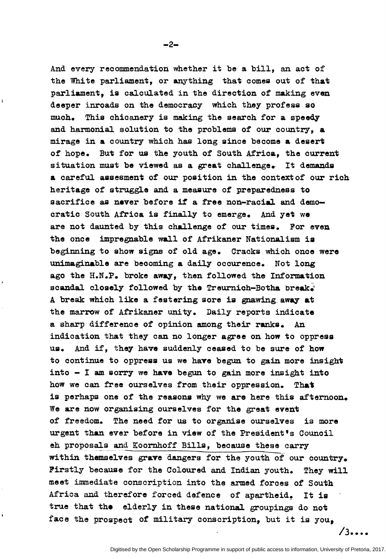And every recommendation whether it be a bill, an act of the White parliament, or anything that comes out of that parliament, is calculated in the direction of making even deeper inroads on the democracy which they profess so much. This chicanery is making the search for a speedy and harmonial solution to the problems of our country, a mirage in a country which has long since become a desert of hope. But for us the youth of South Africa, the current situation must be viewed as a great challenge. It demands a careful assesment of our position in the contextof our rich heritage of struggle and a measure of preparedness to sacrifice as never before if a free non-racial and democratic South Africa is finally to emerge. And yet we are not daunted by this challenge of our times. For even the once impregnable wall of Afrikaner Nationalism ia beginning to show signs of old age. Cracks which once were unimaginable are becoming a daily occurence. Not long ago the H.N.P. broke away, then followed the Information scandal closely followed by the Treurnich-Botha break $\tilde{d}$ A break which like a festering sore is gnawing away at the marrow of Afrikaner unity. Daily reports indicate a sharp difference of opinion among their ranks. An indication that they can no longer agree on how to oppress us. And if, they have suddenly ceased to be sure of how to continue to oppress us we have begun to gain more insight into  $-$  I am sorry we have begun to gain more insight into how we can free ourselves from their oppression. That is perhaps one of the reasons why we are here this afternoon. We are now organising ourselves for the great event of freedom. The need for us to organise ourselves is more urgent than ever before in view of the President's Council eh proposals and Koornhoff Bills, because these carry within themselves grave 'dangers for the youth *ot* our country. Firstly because for the Coloured and Indian youth. They will meet immediate conscription into the armed forces of South Africa and therefore forced defence of apartheid. It is true that the elderly in these national groupings do not face the prospect of military conscription, but it is you,

 $-2-$ 

 $\mathbf{I}$ 

 $/3$  ••••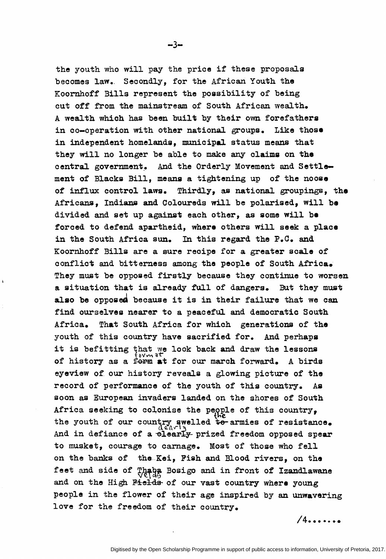the youth who will pay the price if these proposals becomes law. Secondly, for the African Youth the Koornhoff Bills represent the possibility of being cut off from the mainstream of South African wealth. A wealth which has been built by their own forefathers in co-operation with other national groups. Like those in independent homelands, municipal status means that they will no longer be able to make any claims on the central government. And the Orderly Movement and Settlement of Blacks Bill, means a tightening up of the noose of influx control laws. Thirdly, as national groupings, the Africans, Indians and Coloureds will be polarised, will be divided and set up against each other, as some will be forced to defend apartheid, where others will seek a place in the South Africa sun. In this regard the P.C. and Koornhoff Bills are a sure recipe for a greater scale of conflict and bitterness among the people of South Africa. They must be opposed firstly because they continue to worsen a situation that is already full of dangers. But they must also be opposed because it is in their failure that we can find ourselves nearer to a peaceful and democratic South Africa. That South Africa for which generations of the youth of this country have sacrified for. And perhaps it is befitting that we look back and draw the lessons it is beitting that we look back and draw the lessons<br>of history as a form at for our march forward. A birds eyeview of our history reveals a glowing picture of the record of performance of the youth of this country. As soon as European invaders landed on the shores of South Africa seeking to colonise the people of this country, the youth of our country swelled to armies of resistance. And in defiance of a elearly prized freedom opposed spear to musket, courage to carnage. Most of those who fell on the banks of the Kei, Fish and Blood rivers, on the feet and side of Thang Bosigo and in front of Izandlawane and on the High Pields of our vast country where young people in the flower of their age inspired by an unwavering love for the freedom of their country.

 $/4$ ......

 $-3-$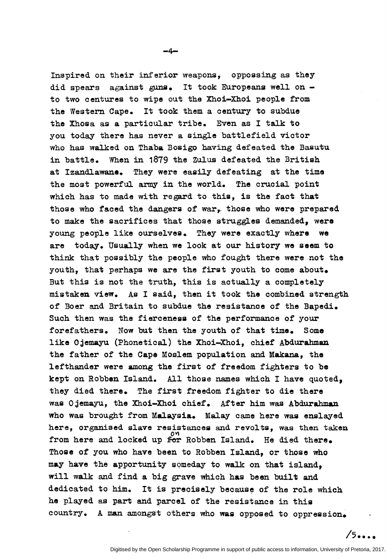Inspired on their inferior weapons, oppossing as they

-4-

did spears against guns. It took Europeans well on  $$ to two centures to wipe out the Xhoi-Xhoi people from the Western Cape. It took them a century to subdue the Xhosa as a particular tribe. Even as I talk to you today there has never a single battlefield victor who has wa1ked on Thaba Bosigo having defeated the Basutu in battle. When in 1879 the Zulus defeated the British at Izandlawane. They were easily defeating at the time the most powerful army in the world. The crucial point which has to made with regard to this, is the fact that those who faced the dangers of war, those who were prepared to make the sacrifices that those struggles demanded, were young people like ourselves. They were exactly where we are today. Usually when we look at our history we seem to think that possibly the people who fought there were not the youth, that perhaps we are the first youth to come about. But this is not the truth, this is actually a completely mistaken view. As I said, then it took the combined strength of Boer and Britain to subdue the resistance of the Bapedi. Such then was the fierceness of the performance of your forefathers. Now but then the youth of that time. Some like 0 jemayu (Phonetical) the Xhoi-Xhoi, chief Abdurahman the father of the Cape Moslem population and Makana, the lefthander were among the first of freedom fighters to be kept on Robben Island. All those names which I have quoted, they died there. The first freedom fighter to die there was Ojemayu, the Xhoi-Xhoi chief. After him was Abdurahman who was brought from Malaysia. Malay came here was enslayed here, organised slave resistances and revolts, was then taken from here and locked up for Robben Island. He died there. Those of you who have been to Robben Island, or those who may have the apportunity someday to walk on that island, will walk and find a big grave which has been built and dedicated to him. It is precisely because of the role which he played as part and parcel of the resistance in this country. A man amongst others who was opposed to oppression.

 $/5...$